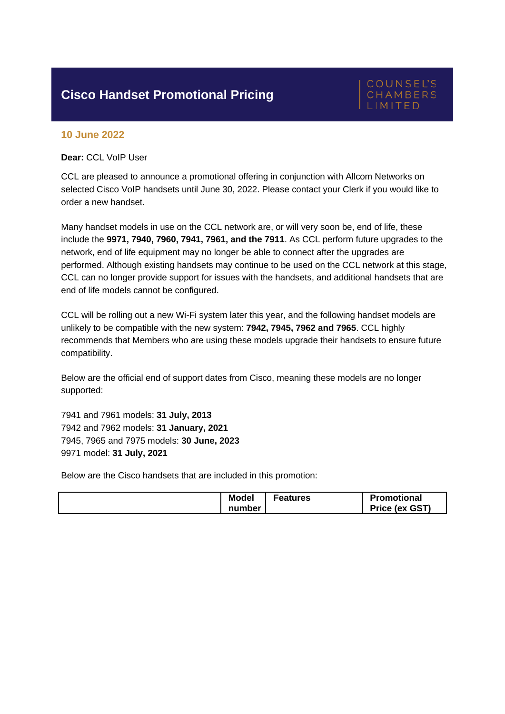## **Cisco Handset Promotional Pricing**

## **COUNSEL'S** CHAMBERS

## **10 June 2022**

**Dear:** CCL VoIP User

CCL are pleased to announce a promotional offering in conjunction with Allcom Networks on selected Cisco VoIP handsets until June 30, 2022. Please contact your Clerk if you would like to order a new handset.

Many handset models in use on the CCL network are, or will very soon be, end of life, these include the **9971, 7940, 7960, 7941, 7961, and the 7911**. As CCL perform future upgrades to the network, end of life equipment may no longer be able to connect after the upgrades are performed. Although existing handsets may continue to be used on the CCL network at this stage, CCL can no longer provide support for issues with the handsets, and additional handsets that are end of life models cannot be configured.

CCL will be rolling out a new Wi-Fi system later this year, and the following handset models are unlikely to be compatible with the new system: **7942, 7945, 7962 and 7965**. CCL highly recommends that Members who are using these models upgrade their handsets to ensure future compatibility.

Below are the official end of support dates from Cisco, meaning these models are no longer supported:

• 7941 and 7961 models: **31 July, 2013** • 7942 and 7962 models: **31 January, 2021** • 7945, 7965 and 7975 models: **30 June, 2023** • 9971 model: **31 July, 2021**

Below are the Cisco handsets that are included in this promotion:

| <b>Model</b><br>number | Features | <b>Promotional</b><br>Price (ex GST) |
|------------------------|----------|--------------------------------------|
|                        |          |                                      |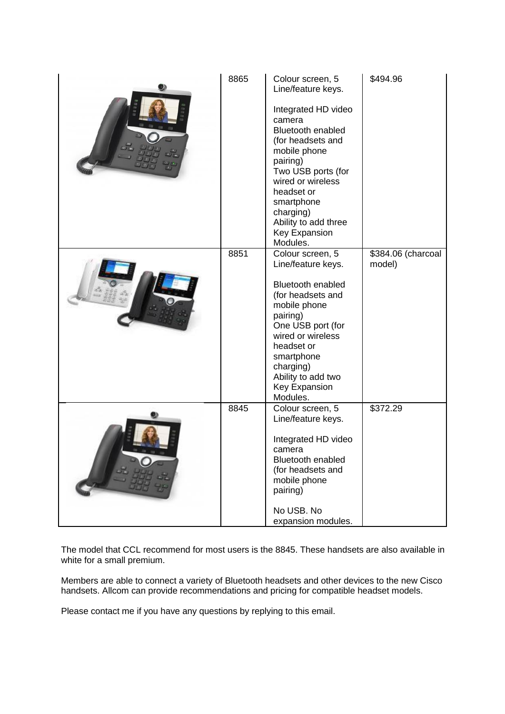| 8865 | Colour screen, 5<br>Line/feature keys.<br>Integrated HD video<br>camera<br>Bluetooth enabled<br>(for headsets and<br>mobile phone<br>pairing)<br>Two USB ports (for<br>wired or wireless<br>headset or<br>smartphone<br>charging)<br>Ability to add three<br>Key Expansion<br>Modules. | \$494.96                     |
|------|----------------------------------------------------------------------------------------------------------------------------------------------------------------------------------------------------------------------------------------------------------------------------------------|------------------------------|
| 8851 | Colour screen, 5<br>Line/feature keys.<br><b>Bluetooth enabled</b><br>(for headsets and<br>mobile phone<br>pairing)<br>One USB port (for<br>wired or wireless<br>headset or<br>smartphone<br>charging)<br>Ability to add two<br>Key Expansion<br>Modules.                              | \$384.06 (charcoal<br>model) |
| 8845 | Colour screen, 5<br>Line/feature keys.<br>Integrated HD video<br>camera<br><b>Bluetooth enabled</b><br>(for headsets and<br>mobile phone<br>pairing)<br>No USB. No<br>expansion modules.                                                                                               | \$372.29                     |

The model that CCL recommend for most users is the 8845. These handsets are also available in white for a small premium.

Members are able to connect a variety of Bluetooth headsets and other devices to the new Cisco handsets. Allcom can provide recommendations and pricing for compatible headset models.

Please contact me if you have any questions by replying to this email.